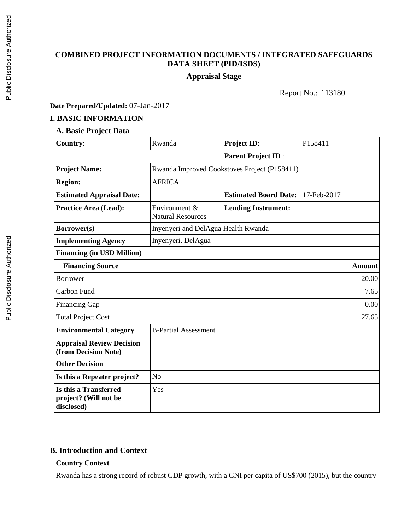# **COMBINED PROJECT INFORMATION DOCUMENTS / INTEGRATED SAFEGUARDS DATA SHEET (PID/ISDS)**

# **Appraisal Stage**

Report No.: 113180

## **Date Prepared/Updated:** 07-Jan-2017

#### **I. BASIC INFORMATION**

## **A. Basic Project Data**

| <b>Country:</b>                                              | Rwanda                                    | <b>Project ID:</b>                           | P158411       |  |
|--------------------------------------------------------------|-------------------------------------------|----------------------------------------------|---------------|--|
|                                                              |                                           | <b>Parent Project ID:</b>                    |               |  |
| <b>Project Name:</b>                                         |                                           | Rwanda Improved Cookstoves Project (P158411) |               |  |
| <b>Region:</b>                                               | <b>AFRICA</b>                             |                                              |               |  |
| <b>Estimated Appraisal Date:</b>                             |                                           | <b>Estimated Board Date:</b>                 | 17-Feb-2017   |  |
| Practice Area (Lead):                                        | Environment &<br><b>Natural Resources</b> | <b>Lending Instrument:</b>                   |               |  |
| Borrower(s)                                                  | Inyenyeri and DelAgua Health Rwanda       |                                              |               |  |
| <b>Implementing Agency</b>                                   | Inyenyeri, DelAgua                        |                                              |               |  |
| <b>Financing (in USD Million)</b>                            |                                           |                                              |               |  |
| <b>Financing Source</b>                                      |                                           |                                              | <b>Amount</b> |  |
| <b>Borrower</b>                                              |                                           |                                              | 20.00         |  |
| Carbon Fund                                                  |                                           |                                              | 7.65          |  |
| <b>Financing Gap</b>                                         |                                           |                                              | 0.00          |  |
| <b>Total Project Cost</b>                                    |                                           |                                              | 27.65         |  |
| <b>Environmental Category</b>                                | <b>B-Partial Assessment</b>               |                                              |               |  |
| <b>Appraisal Review Decision</b><br>(from Decision Note)     |                                           |                                              |               |  |
| <b>Other Decision</b>                                        |                                           |                                              |               |  |
| Is this a Repeater project?                                  | N <sub>o</sub>                            |                                              |               |  |
| Is this a Transferred<br>project? (Will not be<br>disclosed) | Yes                                       |                                              |               |  |

## **B. Introduction and Context**

#### **Country Context**

Rwanda has a strong record of robust GDP growth, with a GNI per capita of US\$700 (2015), but the country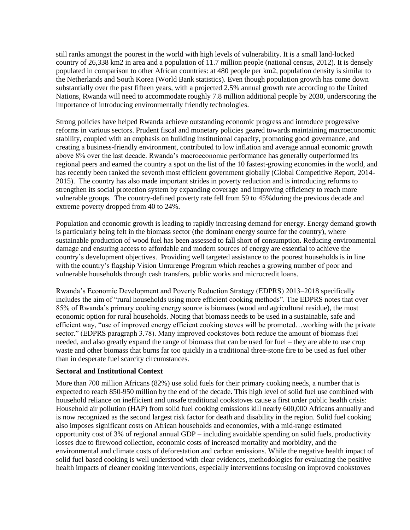still ranks amongst the poorest in the world with high levels of vulnerability. It is a small land-locked country of 26,338 km2 in area and a population of 11.7 million people (national census, 2012). It is densely populated in comparison to other African countries: at 480 people per km2, population density is similar to the Netherlands and South Korea (World Bank statistics). Even though population growth has come down substantially over the past fifteen years, with a projected 2.5% annual growth rate according to the United Nations, Rwanda will need to accommodate roughly 7.8 million additional people by 2030, underscoring the importance of introducing environmentally friendly technologies.

Strong policies have helped Rwanda achieve outstanding economic progress and introduce progressive reforms in various sectors. Prudent fiscal and monetary policies geared towards maintaining macroeconomic stability, coupled with an emphasis on building institutional capacity, promoting good governance, and creating a business-friendly environment, contributed to low inflation and average annual economic growth above 8% over the last decade. Rwanda's macroeconomic performance has generally outperformed its regional peers and earned the country a spot on the list of the 10 fastest-growing economies in the world, and has recently been ranked the seventh most efficient government globally (Global Competitive Report, 2014- 2015). The country has also made important strides in poverty reduction and is introducing reforms to strengthen its social protection system by expanding coverage and improving efficiency to reach more vulnerable groups. The country-defined poverty rate fell from 59 to 45%during the previous decade and extreme poverty dropped from 40 to 24%.

Population and economic growth is leading to rapidly increasing demand for energy. Energy demand growth is particularly being felt in the biomass sector (the dominant energy source for the country), where sustainable production of wood fuel has been assessed to fall short of consumption. Reducing environmental damage and ensuring access to affordable and modern sources of energy are essential to achieve the country's development objectives. Providing well targeted assistance to the poorest households is in line with the country's flagship Vision Umurenge Program which reaches a growing number of poor and vulnerable households through cash transfers, public works and microcredit loans.

Rwanda's Economic Development and Poverty Reduction Strategy (EDPRS) 2013–2018 specifically includes the aim of "rural households using more efficient cooking methods". The EDPRS notes that over 85% of Rwanda's primary cooking energy source is biomass (wood and agricultural residue), the most economic option for rural households. Noting that biomass needs to be used in a sustainable, safe and efficient way, "use of improved energy efficient cooking stoves will be promoted…working with the private sector." (EDPRS paragraph 3.78). Many improved cookstoves both reduce the amount of biomass fuel needed, and also greatly expand the range of biomass that can be used for fuel – they are able to use crop waste and other biomass that burns far too quickly in a traditional three-stone fire to be used as fuel other than in desperate fuel scarcity circumstances.

#### **Sectoral and Institutional Context**

More than 700 million Africans (82%) use solid fuels for their primary cooking needs, a number that is expected to reach 850-950 million by the end of the decade. This high level of solid fuel use combined with household reliance on inefficient and unsafe traditional cookstoves cause a first order public health crisis: Household air pollution (HAP) from solid fuel cooking emissions kill nearly 600,000 Africans annually and is now recognized as the second largest risk factor for death and disability in the region. Solid fuel cooking also imposes significant costs on African households and economies, with a mid-range estimated opportunity cost of 3% of regional annual GDP – including avoidable spending on solid fuels, productivity losses due to firewood collection, economic costs of increased mortality and morbidity, and the environmental and climate costs of deforestation and carbon emissions. While the negative health impact of solid fuel based cooking is well understood with clear evidences, methodologies for evaluating the positive health impacts of cleaner cooking interventions, especially interventions focusing on improved cookstoves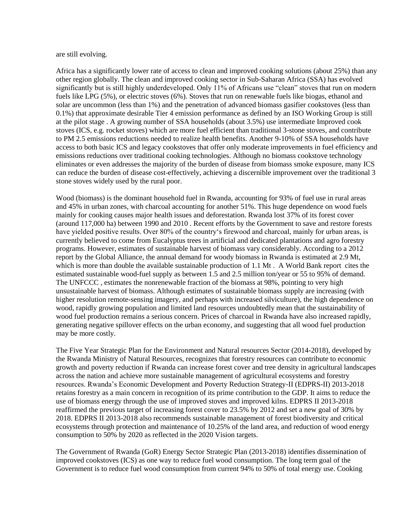are still evolving.

Africa has a significantly lower rate of access to clean and improved cooking solutions (about 25%) than any other region globally. The clean and improved cooking sector in Sub-Saharan Africa (SSA) has evolved significantly but is still highly underdeveloped. Only 11% of Africans use "clean" stoves that run on modern fuels like LPG (5%), or electric stoves (6%). Stoves that run on renewable fuels like biogas, ethanol and solar are uncommon (less than 1%) and the penetration of advanced biomass gasifier cookstoves (less than 0.1%) that approximate desirable Tier 4 emission performance as defined by an ISO Working Group is still at the pilot stage . A growing number of SSA households (about 3.5%) use intermediate Improved cook stoves (ICS, e.g. rocket stoves) which are more fuel efficient than traditional 3-stone stoves, and contribute to PM 2.5 emissions reductions needed to realize health benefits. Another 9-10% of SSA households have access to both basic ICS and legacy cookstoves that offer only moderate improvements in fuel efficiency and emissions reductions over traditional cooking technologies. Although no biomass cookstove technology eliminates or even addresses the majority of the burden of disease from biomass smoke exposure, many ICS can reduce the burden of disease cost-effectively, achieving a discernible improvement over the traditional 3 stone stoves widely used by the rural poor.

Wood (biomass) is the dominant household fuel in Rwanda, accounting for 93% of fuel use in rural areas and 45% in urban zones, with charcoal accounting for another 51%. This huge dependence on wood fuels mainly for cooking causes major health issues and deforestation. Rwanda lost 37% of its forest cover (around 117,000 ha) between 1990 and 2010 . Recent efforts by the Government to save and restore forests have yielded positive results. Over 80% of the country's firewood and charcoal, mainly for urban areas, is currently believed to come from Eucalyptus trees in artificial and dedicated plantations and agro forestry programs. However, estimates of sustainable harvest of biomass vary considerably. According to a 2012 report by the Global Alliance, the annual demand for woody biomass in Rwanda is estimated at 2.9 Mt, which is more than double the available sustainable production of 1.1 Mt. A World Bank report cites the estimated sustainable wood-fuel supply as between 1.5 and 2.5 million ton/year or 55 to 95% of demand. The UNFCCC , estimates the nonrenewable fraction of the biomass at 98%, pointing to very high unsustainable harvest of biomass. Although estimates of sustainable biomass supply are increasing (with higher resolution remote-sensing imagery, and perhaps with increased silviculture), the high dependence on wood, rapidly growing population and limited land resources undoubtedly mean that the sustainability of wood fuel production remains a serious concern. Prices of charcoal in Rwanda have also increased rapidly, generating negative spillover effects on the urban economy, and suggesting that all wood fuel production may be more costly.

The Five Year Strategic Plan for the Environment and Natural resources Sector (2014-2018), developed by the Rwanda Ministry of Natural Resources, recognizes that forestry resources can contribute to economic growth and poverty reduction if Rwanda can increase forest cover and tree density in agricultural landscapes across the nation and achieve more sustainable management of agricultural ecosystems and forestry resources. Rwanda's Economic Development and Poverty Reduction Strategy-II (EDPRS-II) 2013-2018 retains forestry as a main concern in recognition of its prime contribution to the GDP. It aims to reduce the use of biomass energy through the use of improved stoves and improved kilns. EDPRS II 2013-2018 reaffirmed the previous target of increasing forest cover to 23.5% by 2012 and set a new goal of 30% by 2018. EDPRS II 2013-2018 also recommends sustainable management of forest biodiversity and critical ecosystems through protection and maintenance of 10.25% of the land area, and reduction of wood energy consumption to 50% by 2020 as reflected in the 2020 Vision targets.

The Government of Rwanda (GoR) Energy Sector Strategic Plan (2013-2018) identifies dissemination of improved cookstoves (ICS) as one way to reduce fuel wood consumption. The long term goal of the Government is to reduce fuel wood consumption from current 94% to 50% of total energy use. Cooking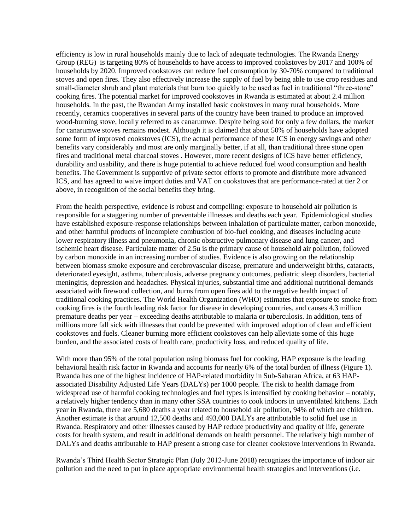efficiency is low in rural households mainly due to lack of adequate technologies. The Rwanda Energy Group (REG) is targeting 80% of households to have access to improved cookstoves by 2017 and 100% of households by 2020. Improved cookstoves can reduce fuel consumption by 30-70% compared to traditional stoves and open fires. They also effectively increase the supply of fuel by being able to use crop residues and small-diameter shrub and plant materials that burn too quickly to be used as fuel in traditional "three-stone" cooking fires. The potential market for improved cookstoves in Rwanda is estimated at about 2.4 million households. In the past, the Rwandan Army installed basic cookstoves in many rural households. More recently, ceramics cooperatives in several parts of the country have been trained to produce an improved wood-burning stove, locally referred to as canarumwe. Despite being sold for only a few dollars, the market for canarumwe stoves remains modest. Although it is claimed that about 50% of households have adopted some form of improved cookstoves (ICS), the actual performance of these ICS in energy savings and other benefits vary considerably and most are only marginally better, if at all, than traditional three stone open fires and traditional metal charcoal stoves . However, more recent designs of ICS have better efficiency, durability and usability, and there is huge potential to achieve reduced fuel wood consumption and health benefits. The Government is supportive of private sector efforts to promote and distribute more advanced ICS, and has agreed to waive import duties and VAT on cookstoves that are performance-rated at tier 2 or above, in recognition of the social benefits they bring.

From the health perspective, evidence is robust and compelling: exposure to household air pollution is responsible for a staggering number of preventable illnesses and deaths each year. Epidemiological studies have established exposure-response relationships between inhalation of particulate matter, carbon monoxide, and other harmful products of incomplete combustion of bio-fuel cooking, and diseases including acute lower respiratory illness and pneumonia, chronic obstructive pulmonary disease and lung cancer, and ischemic heart disease. Particulate matter of 2.5u is the primary cause of household air pollution, followed by carbon monoxide in an increasing number of studies. Evidence is also growing on the relationship between biomass smoke exposure and cerebrovascular disease, premature and underweight births, cataracts, deteriorated eyesight, asthma, tuberculosis, adverse pregnancy outcomes, pediatric sleep disorders, bacterial meningitis, depression and headaches. Physical injuries, substantial time and additional nutritional demands associated with firewood collection, and burns from open fires add to the negative health impact of traditional cooking practices. The World Health Organization (WHO) estimates that exposure to smoke from cooking fires is the fourth leading risk factor for disease in developing countries, and causes 4.3 million premature deaths per year – exceeding deaths attributable to malaria or tuberculosis. In addition, tens of millions more fall sick with illnesses that could be prevented with improved adoption of clean and efficient cookstoves and fuels. Cleaner burning more efficient cookstoves can help alleviate some of this huge burden, and the associated costs of health care, productivity loss, and reduced quality of life.

With more than 95% of the total population using biomass fuel for cooking, HAP exposure is the leading behavioral health risk factor in Rwanda and accounts for nearly 6% of the total burden of illness (Figure 1). Rwanda has one of the highest incidence of HAP-related morbidity in Sub-Saharan Africa, at 63 HAPassociated Disability Adjusted Life Years (DALYs) per 1000 people. The risk to health damage from widespread use of harmful cooking technologies and fuel types is intensified by cooking behavior – notably, a relatively higher tendency than in many other SSA countries to cook indoors in unventilated kitchens. Each year in Rwanda, there are 5,680 deaths a year related to household air pollution, 94% of which are children. Another estimate is that around 12,500 deaths and 493,000 DALYs are attributable to solid fuel use in Rwanda. Respiratory and other illnesses caused by HAP reduce productivity and quality of life, generate costs for health system, and result in additional demands on health personnel. The relatively high number of DALYs and deaths attributable to HAP present a strong case for cleaner cookstove interventions in Rwanda.

Rwanda's Third Health Sector Strategic Plan (July 2012-June 2018) recognizes the importance of indoor air pollution and the need to put in place appropriate environmental health strategies and interventions (i.e.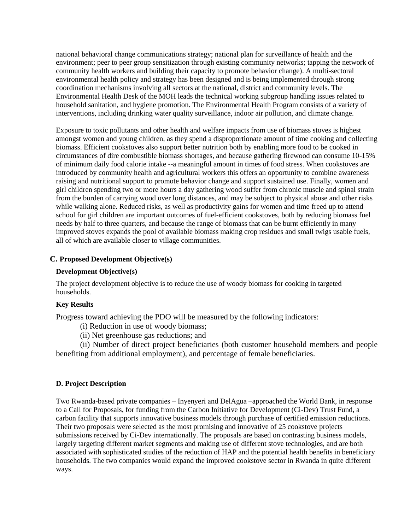national behavioral change communications strategy; national plan for surveillance of health and the environment; peer to peer group sensitization through existing community networks; tapping the network of community health workers and building their capacity to promote behavior change). A multi-sectoral environmental health policy and strategy has been designed and is being implemented through strong coordination mechanisms involving all sectors at the national, district and community levels. The Environmental Health Desk of the MOH leads the technical working subgroup handling issues related to household sanitation, and hygiene promotion. The Environmental Health Program consists of a variety of interventions, including drinking water quality surveillance, indoor air pollution, and climate change.

Exposure to toxic pollutants and other health and welfare impacts from use of biomass stoves is highest amongst women and young children, as they spend a disproportionate amount of time cooking and collecting biomass. Efficient cookstoves also support better nutrition both by enabling more food to be cooked in circumstances of dire combustible biomass shortages, and because gathering firewood can consume 10-15% of minimum daily food calorie intake --a meaningful amount in times of food stress. When cookstoves are introduced by community health and agricultural workers this offers an opportunity to combine awareness raising and nutritional support to promote behavior change and support sustained use. Finally, women and girl children spending two or more hours a day gathering wood suffer from chronic muscle and spinal strain from the burden of carrying wood over long distances, and may be subject to physical abuse and other risks while walking alone. Reduced risks, as well as productivity gains for women and time freed up to attend school for girl children are important outcomes of fuel-efficient cookstoves, both by reducing biomass fuel needs by half to three quarters, and because the range of biomass that can be burnt efficiently in many improved stoves expands the pool of available biomass making crop residues and small twigs usable fuels, all of which are available closer to village communities.

#### **C. Proposed Development Objective(s)**

#### **Development Objective(s)**

The project development objective is to reduce the use of woody biomass for cooking in targeted households.

#### **Key Results**

.

Progress toward achieving the PDO will be measured by the following indicators:

(i) Reduction in use of woody biomass;

(ii) Net greenhouse gas reductions; and

(ii) Number of direct project beneficiaries (both customer household members and people benefiting from additional employment), and percentage of female beneficiaries.

#### **D. Project Description**

Two Rwanda-based private companies – Inyenyeri and DelAgua –approached the World Bank, in response to a Call for Proposals, for funding from the Carbon Initiative for Development (Ci-Dev) Trust Fund, a carbon facility that supports innovative business models through purchase of certified emission reductions. Their two proposals were selected as the most promising and innovative of 25 cookstove projects submissions received by Ci-Dev internationally. The proposals are based on contrasting business models, largely targeting different market segments and making use of different stove technologies, and are both associated with sophisticated studies of the reduction of HAP and the potential health benefits in beneficiary households. The two companies would expand the improved cookstove sector in Rwanda in quite different ways.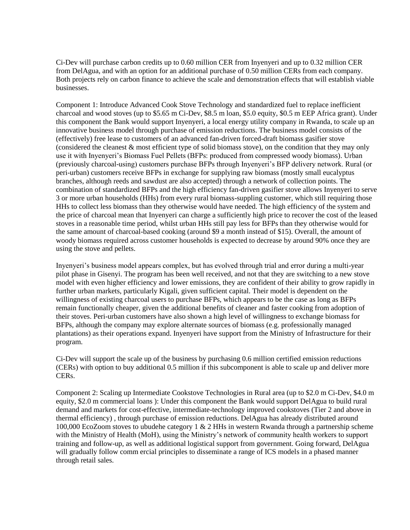Ci-Dev will purchase carbon credits up to 0.60 million CER from Inyenyeri and up to 0.32 million CER from DelAgua, and with an option for an additional purchase of 0.50 million CERs from each company. Both projects rely on carbon finance to achieve the scale and demonstration effects that will establish viable businesses.

Component 1: Introduce Advanced Cook Stove Technology and standardized fuel to replace inefficient charcoal and wood stoves (up to \$5.65 m Ci-Dev, \$8.5 m loan, \$5.0 equity, \$0.5 m EEP Africa grant). Under this component the Bank would support Inyenyeri, a local energy utility company in Rwanda, to scale up an innovative business model through purchase of emission reductions. The business model consists of the (effectively) free lease to customers of an advanced fan-driven forced-draft biomass gasifier stove (considered the cleanest & most efficient type of solid biomass stove), on the condition that they may only use it with Inyenyeri's Biomass Fuel Pellets (BFPs: produced from compressed woody biomass). Urban (previously charcoal-using) customers purchase BFPs through Inyenyeri's BFP delivery network. Rural (or peri-urban) customers receive BFPs in exchange for supplying raw biomass (mostly small eucalyptus branches, although reeds and sawdust are also accepted) through a network of collection points. The combination of standardized BFPs and the high efficiency fan-driven gasifier stove allows Inyenyeri to serve 3 or more urban households (HHs) from every rural biomass-suppling customer, which still requiring those HHs to collect less biomass than they otherwise would have needed. The high efficiency of the system and the price of charcoal mean that Inyenyeri can charge a sufficiently high price to recover the cost of the leased stoves in a reasonable time period, whilst urban HHs still pay less for BFPs than they otherwise would for the same amount of charcoal-based cooking (around \$9 a month instead of \$15). Overall, the amount of woody biomass required across customer households is expected to decrease by around 90% once they are using the stove and pellets.

Inyenyeri's business model appears complex, but has evolved through trial and error during a multi-year pilot phase in Gisenyi. The program has been well received, and not that they are switching to a new stove model with even higher efficiency and lower emissions, they are confident of their ability to grow rapidly in further urban markets, particularly Kigali, given sufficient capital. Their model is dependent on the willingness of existing charcoal users to purchase BFPs, which appears to be the case as long as BFPs remain functionally cheaper, given the additional benefits of cleaner and faster cooking from adoption of their stoves. Peri-urban customers have also shown a high level of willingness to exchange biomass for BFPs, although the company may explore alternate sources of biomass (e.g. professionally managed plantations) as their operations expand. Inyenyeri have support from the Ministry of Infrastructure for their program.

Ci-Dev will support the scale up of the business by purchasing 0.6 million certified emission reductions (CERs) with option to buy additional 0.5 million if this subcomponent is able to scale up and deliver more CERs.

Component 2: Scaling up Intermediate Cookstove Technologies in Rural area (up to \$2.0 m Ci-Dev, \$4.0 m equity, \$2.0 m commercial loans ): Under this component the Bank would support DelAgua to build rural demand and markets for cost-effective, intermediate-technology improved cookstoves (Tier 2 and above in thermal efficiency) , through purchase of emission reductions. DelAgua has already distributed around 100,000 EcoZoom stoves to ubudehe category 1 & 2 HHs in western Rwanda through a partnership scheme with the Ministry of Health (MoH), using the Ministry's network of community health workers to support training and follow-up, as well as additional logistical support from government. Going forward, DelAgua will gradually follow comm ercial principles to disseminate a range of ICS models in a phased manner through retail sales.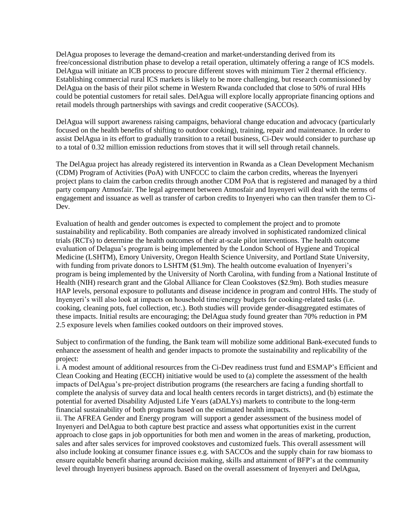DelAgua proposes to leverage the demand-creation and market-understanding derived from its free/concessional distribution phase to develop a retail operation, ultimately offering a range of ICS models. DelAgua will initiate an ICB process to procure different stoves with minimum Tier 2 thermal efficiency. Establishing commercial rural ICS markets is likely to be more challenging, but research commissioned by DelAgua on the basis of their pilot scheme in Western Rwanda concluded that close to 50% of rural HHs could be potential customers for retail sales. DelAgua will explore locally appropriate financing options and retail models through partnerships with savings and credit cooperative (SACCOs).

DelAgua will support awareness raising campaigns, behavioral change education and advocacy (particularly focused on the health benefits of shifting to outdoor cooking), training, repair and maintenance. In order to assist DelAgua in its effort to gradually transition to a retail business, Ci-Dev would consider to purchase up to a total of 0.32 million emission reductions from stoves that it will sell through retail channels.

The DelAgua project has already registered its intervention in Rwanda as a Clean Development Mechanism (CDM) Program of Activities (PoA) with UNFCCC to claim the carbon credits, whereas the Inyenyeri project plans to claim the carbon credits through another CDM PoA that is registered and managed by a third party company Atmosfair. The legal agreement between Atmosfair and Inyenyeri will deal with the terms of engagement and issuance as well as transfer of carbon credits to Inyenyeri who can then transfer them to Ci-Dev.

Evaluation of health and gender outcomes is expected to complement the project and to promote sustainability and replicability. Both companies are already involved in sophisticated randomized clinical trials (RCTs) to determine the health outcomes of their at-scale pilot interventions. The health outcome evaluation of Delagua's program is being implemented by the London School of Hygiene and Tropical Medicine (LSHTM), Emory University, Oregon Health Science University, and Portland State University, with funding from private donors to LSHTM (\$1.9m). The health outcome evaluation of Inyenyeri's program is being implemented by the University of North Carolina, with funding from a National Institute of Health (NIH) research grant and the Global Alliance for Clean Cookstoves (\$2.9m). Both studies measure HAP levels, personal exposure to pollutants and disease incidence in program and control HHs. The study of Inyenyeri's will also look at impacts on household time/energy budgets for cooking-related tasks (i.e. cooking, cleaning pots, fuel collection, etc.). Both studies will provide gender-disaggregated estimates of these impacts. Initial results are encouraging; the DelAgua study found greater than 70% reduction in PM 2.5 exposure levels when families cooked outdoors on their improved stoves.

Subject to confirmation of the funding, the Bank team will mobilize some additional Bank-executed funds to enhance the assessment of health and gender impacts to promote the sustainability and replicability of the project:

i. A modest amount of additional resources from the Ci-Dev readiness trust fund and ESMAP's Efficient and Clean Cooking and Heating (ECCH) initiative would be used to (a) complete the assessment of the health impacts of DelAgua's pre-project distribution programs (the researchers are facing a funding shortfall to complete the analysis of survey data and local health centers records in target districts), and (b) estimate the potential for averted Disability Adjusted Life Years (aDALYs) markets to contribute to the long-term financial sustainability of both programs based on the estimated health impacts.

ii. The AFREA Gender and Energy program will support a gender assessment of the business model of Inyenyeri and DelAgua to both capture best practice and assess what opportunities exist in the current approach to close gaps in job opportunities for both men and women in the areas of marketing, production, sales and after sales services for improved cookstoves and customized fuels. This overall assessment will also include looking at consumer finance issues e.g. with SACCOs and the supply chain for raw biomass to ensure equitable benefit sharing around decision making, skills and attainment of BFP's at the community level through Inyenyeri business approach. Based on the overall assessment of Inyenyeri and DelAgua,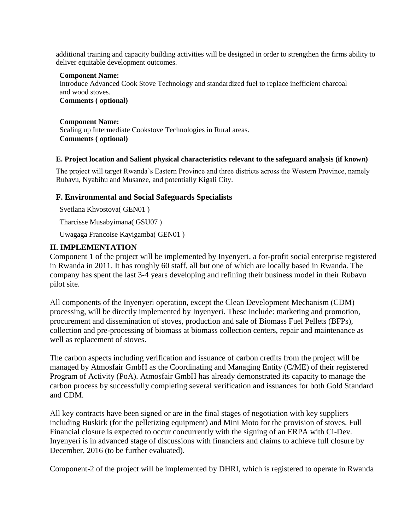additional training and capacity building activities will be designed in order to strengthen the firms ability to deliver equitable development outcomes.

#### **Component Name:**

Introduce Advanced Cook Stove Technology and standardized fuel to replace inefficient charcoal and wood stoves.

**Comments ( optional)**

#### **Component Name:**

Scaling up Intermediate Cookstove Technologies in Rural areas. **Comments ( optional)**

#### **E. Project location and Salient physical characteristics relevant to the safeguard analysis (if known)**

The project will target Rwanda's Eastern Province and three districts across the Western Province, namely Rubavu, Nyabihu and Musanze, and potentially Kigali City.

#### **F. Environmental and Social Safeguards Specialists**

Svetlana Khvostova( GEN01 )

Tharcisse Musabyimana( GSU07 )

Uwagaga Francoise Kayigamba( GEN01 )

## **II. IMPLEMENTATION**

Component 1 of the project will be implemented by Inyenyeri, a for-profit social enterprise registered in Rwanda in 2011. It has roughly 60 staff, all but one of which are locally based in Rwanda. The company has spent the last 3-4 years developing and refining their business model in their Rubavu pilot site.

All components of the Inyenyeri operation, except the Clean Development Mechanism (CDM) processing, will be directly implemented by Inyenyeri. These include: marketing and promotion, procurement and dissemination of stoves, production and sale of Biomass Fuel Pellets (BFPs), collection and pre-processing of biomass at biomass collection centers, repair and maintenance as well as replacement of stoves.

The carbon aspects including verification and issuance of carbon credits from the project will be managed by Atmosfair GmbH as the Coordinating and Managing Entity (C/ME) of their registered Program of Activity (PoA). Atmosfair GmbH has already demonstrated its capacity to manage the carbon process by successfully completing several verification and issuances for both Gold Standard and CDM.

All key contracts have been signed or are in the final stages of negotiation with key suppliers including Buskirk (for the pelletizing equipment) and Mini Moto for the provision of stoves. Full Financial closure is expected to occur concurrently with the signing of an ERPA with Ci-Dev. Inyenyeri is in advanced stage of discussions with financiers and claims to achieve full closure by December, 2016 (to be further evaluated).

Component-2 of the project will be implemented by DHRI, which is registered to operate in Rwanda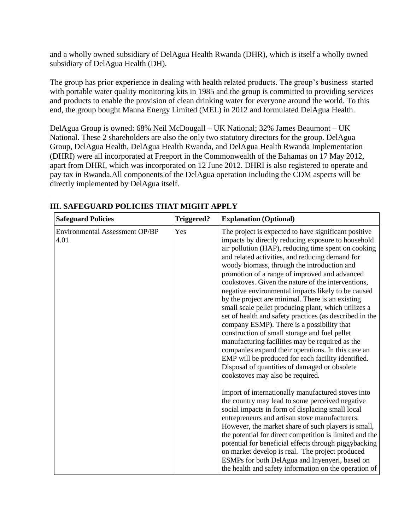and a wholly owned subsidiary of DelAgua Health Rwanda (DHR), which is itself a wholly owned subsidiary of DelAgua Health (DH).

The group has prior experience in dealing with health related products. The group's business started with portable water quality monitoring kits in 1985 and the group is committed to providing services and products to enable the provision of clean drinking water for everyone around the world. To this end, the group bought Manna Energy Limited (MEL) in 2012 and formulated DelAgua Health.

DelAgua Group is owned: 68% Neil McDougall – UK National; 32% James Beaumont – UK National. These 2 shareholders are also the only two statutory directors for the group. DelAgua Group, DelAgua Health, DelAgua Health Rwanda, and DelAgua Health Rwanda Implementation (DHRI) were all incorporated at Freeport in the Commonwealth of the Bahamas on 17 May 2012, apart from DHRI, which was incorporated on 12 June 2012. DHRI is also registered to operate and pay tax in Rwanda.All components of the DelAgua operation including the CDM aspects will be directly implemented by DelAgua itself.

| <b>Safeguard Policies</b>                     | <b>Triggered?</b> | <b>Explanation (Optional)</b>                                                                                                                                                                                                                                                                                                                                                                                                                                                                                                                                                                                                                                                                                                                                                                                                                                                                                                                              |
|-----------------------------------------------|-------------------|------------------------------------------------------------------------------------------------------------------------------------------------------------------------------------------------------------------------------------------------------------------------------------------------------------------------------------------------------------------------------------------------------------------------------------------------------------------------------------------------------------------------------------------------------------------------------------------------------------------------------------------------------------------------------------------------------------------------------------------------------------------------------------------------------------------------------------------------------------------------------------------------------------------------------------------------------------|
| <b>Environmental Assessment OP/BP</b><br>4.01 | Yes               | The project is expected to have significant positive<br>impacts by directly reducing exposure to household<br>air pollution (HAP), reducing time spent on cooking<br>and related activities, and reducing demand for<br>woody biomass, through the introduction and<br>promotion of a range of improved and advanced<br>cookstoves. Given the nature of the interventions,<br>negative environmental impacts likely to be caused<br>by the project are minimal. There is an existing<br>small scale pellet producing plant, which utilizes a<br>set of health and safety practices (as described in the<br>company ESMP). There is a possibility that<br>construction of small storage and fuel pellet<br>manufacturing facilities may be required as the<br>companies expand their operations. In this case an<br>EMP will be produced for each facility identified.<br>Disposal of quantities of damaged or obsolete<br>cookstoves may also be required. |
|                                               |                   | Import of internationally manufactured stoves into<br>the country may lead to some perceived negative<br>social impacts in form of displacing small local<br>entrepreneurs and artisan stove manufacturers.<br>However, the market share of such players is small,<br>the potential for direct competition is limited and the<br>potential for beneficial effects through piggybacking<br>on market develop is real. The project produced<br>ESMPs for both DelAgua and Inyenyeri, based on<br>the health and safety information on the operation of                                                                                                                                                                                                                                                                                                                                                                                                       |

## **III. SAFEGUARD POLICIES THAT MIGHT APPLY**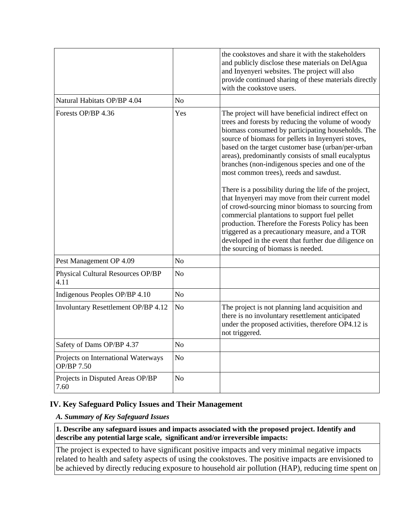|                                                          |                | the cookstoves and share it with the stakeholders<br>and publicly disclose these materials on DelAgua<br>and Inyenyeri websites. The project will also<br>provide continued sharing of these materials directly<br>with the cookstove users.                                                                                                                                                                                                                                                                                                                                                                                                                                                                                                                                                                                                          |
|----------------------------------------------------------|----------------|-------------------------------------------------------------------------------------------------------------------------------------------------------------------------------------------------------------------------------------------------------------------------------------------------------------------------------------------------------------------------------------------------------------------------------------------------------------------------------------------------------------------------------------------------------------------------------------------------------------------------------------------------------------------------------------------------------------------------------------------------------------------------------------------------------------------------------------------------------|
| Natural Habitats OP/BP 4.04                              | N <sub>o</sub> |                                                                                                                                                                                                                                                                                                                                                                                                                                                                                                                                                                                                                                                                                                                                                                                                                                                       |
| Forests OP/BP 4.36                                       | Yes            | The project will have beneficial indirect effect on<br>trees and forests by reducing the volume of woody<br>biomass consumed by participating households. The<br>source of biomass for pellets in Inyenyeri stoves,<br>based on the target customer base (urban/per-urban<br>areas), predominantly consists of small eucalyptus<br>branches (non-indigenous species and one of the<br>most common trees), reeds and sawdust.<br>There is a possibility during the life of the project,<br>that Inyenyeri may move from their current model<br>of crowd-sourcing minor biomass to sourcing from<br>commercial plantations to support fuel pellet<br>production. Therefore the Forests Policy has been<br>triggered as a precautionary measure, and a TOR<br>developed in the event that further due diligence on<br>the sourcing of biomass is needed. |
| Pest Management OP 4.09                                  | N <sub>o</sub> |                                                                                                                                                                                                                                                                                                                                                                                                                                                                                                                                                                                                                                                                                                                                                                                                                                                       |
| Physical Cultural Resources OP/BP<br>4.11                | N <sub>o</sub> |                                                                                                                                                                                                                                                                                                                                                                                                                                                                                                                                                                                                                                                                                                                                                                                                                                                       |
| Indigenous Peoples OP/BP 4.10                            | N <sub>o</sub> |                                                                                                                                                                                                                                                                                                                                                                                                                                                                                                                                                                                                                                                                                                                                                                                                                                                       |
| Involuntary Resettlement OP/BP 4.12                      | N <sub>o</sub> | The project is not planning land acquisition and<br>there is no involuntary resettlement anticipated<br>under the proposed activities, therefore OP4.12 is<br>not triggered.                                                                                                                                                                                                                                                                                                                                                                                                                                                                                                                                                                                                                                                                          |
| Safety of Dams OP/BP 4.37                                | N <sub>o</sub> |                                                                                                                                                                                                                                                                                                                                                                                                                                                                                                                                                                                                                                                                                                                                                                                                                                                       |
| Projects on International Waterways<br><b>OP/BP 7.50</b> | N <sub>o</sub> |                                                                                                                                                                                                                                                                                                                                                                                                                                                                                                                                                                                                                                                                                                                                                                                                                                                       |
| Projects in Disputed Areas OP/BP<br>7.60                 | N <sub>o</sub> |                                                                                                                                                                                                                                                                                                                                                                                                                                                                                                                                                                                                                                                                                                                                                                                                                                                       |

# **IV. Key Safeguard Policy Issues and Their Management**

#### *A. Summary of Key Safeguard Issues*

**1. Describe any safeguard issues and impacts associated with the proposed project. Identify and describe any potential large scale, significant and/or irreversible impacts:**

The project is expected to have significant positive impacts and very minimal negative impacts related to health and safety aspects of using the cookstoves. The positive impacts are envisioned to be achieved by directly reducing exposure to household air pollution (HAP), reducing time spent on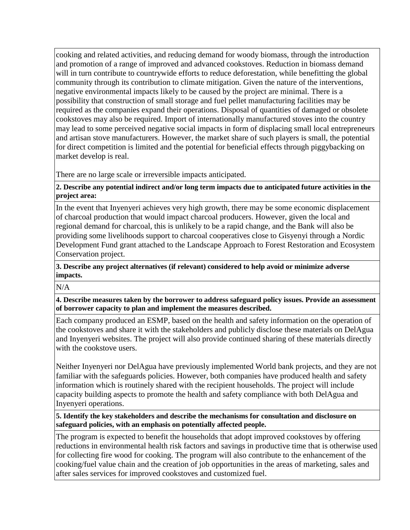cooking and related activities, and reducing demand for woody biomass, through the introduction and promotion of a range of improved and advanced cookstoves. Reduction in biomass demand will in turn contribute to countrywide efforts to reduce deforestation, while benefitting the global community through its contribution to climate mitigation. Given the nature of the interventions, negative environmental impacts likely to be caused by the project are minimal. There is a possibility that construction of small storage and fuel pellet manufacturing facilities may be required as the companies expand their operations. Disposal of quantities of damaged or obsolete cookstoves may also be required. Import of internationally manufactured stoves into the country may lead to some perceived negative social impacts in form of displacing small local entrepreneurs and artisan stove manufacturers. However, the market share of such players is small, the potential for direct competition is limited and the potential for beneficial effects through piggybacking on market develop is real.

There are no large scale or irreversible impacts anticipated.

**2. Describe any potential indirect and/or long term impacts due to anticipated future activities in the project area:**

In the event that Inyenyeri achieves very high growth, there may be some economic displacement of charcoal production that would impact charcoal producers. However, given the local and regional demand for charcoal, this is unlikely to be a rapid change, and the Bank will also be providing some livelihoods support to charcoal cooperatives close to Gisyenyi through a Nordic Development Fund grant attached to the Landscape Approach to Forest Restoration and Ecosystem Conservation project.

**3. Describe any project alternatives (if relevant) considered to help avoid or minimize adverse impacts.**

N/A

**4. Describe measures taken by the borrower to address safeguard policy issues. Provide an assessment of borrower capacity to plan and implement the measures described.**

Each company produced an ESMP, based on the health and safety information on the operation of the cookstoves and share it with the stakeholders and publicly disclose these materials on DelAgua and Inyenyeri websites. The project will also provide continued sharing of these materials directly with the cookstove users.

Neither Inyenyeri nor DelAgua have previously implemented World bank projects, and they are not familiar with the safeguards policies. However, both companies have produced health and safety information which is routinely shared with the recipient households. The project will include capacity building aspects to promote the health and safety compliance with both DelAgua and Inyenyeri operations.

**5. Identify the key stakeholders and describe the mechanisms for consultation and disclosure on safeguard policies, with an emphasis on potentially affected people.**

The program is expected to benefit the households that adopt improved cookstoves by offering reductions in environmental health risk factors and savings in productive time that is otherwise used for collecting fire wood for cooking. The program will also contribute to the enhancement of the cooking/fuel value chain and the creation of job opportunities in the areas of marketing, sales and after sales services for improved cookstoves and customized fuel.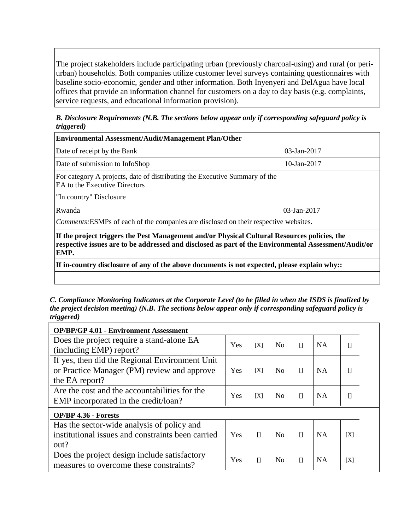The project stakeholders include participating urban (previously charcoal-using) and rural (or periurban) households. Both companies utilize customer level surveys containing questionnaires with baseline socio-economic, gender and other information. Both Inyenyeri and DelAgua have local offices that provide an information channel for customers on a day to day basis (e.g. complaints, service requests, and educational information provision).

*B. Disclosure Requirements (N.B. The sections below appear only if corresponding safeguard policy is triggered)*

| <b>Environmental Assessment/Audit/Management Plan/Other</b>                                                                                                                                                  |                |  |  |  |  |
|--------------------------------------------------------------------------------------------------------------------------------------------------------------------------------------------------------------|----------------|--|--|--|--|
| Date of receipt by the Bank                                                                                                                                                                                  | $03$ -Jan-2017 |  |  |  |  |
| Date of submission to InfoShop                                                                                                                                                                               | 10-Jan-2017    |  |  |  |  |
| For category A projects, date of distributing the Executive Summary of the<br>EA to the Executive Directors                                                                                                  |                |  |  |  |  |
| "In country" Disclosure                                                                                                                                                                                      |                |  |  |  |  |
| 03-Jan-2017<br>Rwanda                                                                                                                                                                                        |                |  |  |  |  |
| Comments: ESMPs of each of the companies are disclosed on their respective websites.                                                                                                                         |                |  |  |  |  |
| If the project triggers the Pest Management and/or Physical Cultural Resources policies, the<br>respective issues are to be addressed and disclosed as part of the Environmental Assessment/Audit/or<br>EMP. |                |  |  |  |  |

**If in-country disclosure of any of the above documents is not expected, please explain why::**

*C. Compliance Monitoring Indicators at the Corporate Level (to be filled in when the ISDS is finalized by the project decision meeting) (N.B. The sections below appear only if corresponding safeguard policy is triggered)*

| <b>OP/BP/GP 4.01 - Environment Assessment</b>                        |     |         |                |              |           |         |
|----------------------------------------------------------------------|-----|---------|----------------|--------------|-----------|---------|
| Does the project require a stand-alone EA<br>(including EMP) report? | Yes | [X]     | No             | П            | <b>NA</b> | $\Box$  |
| If yes, then did the Regional Environment Unit                       |     |         |                |              |           |         |
| or Practice Manager (PM) review and approve                          | Yes | [X]     | No             | П            | <b>NA</b> | $\prod$ |
| the EA report?                                                       |     |         |                |              |           |         |
| Are the cost and the accountabilities for the                        | Yes | [X]     | No             | П            | <b>NA</b> | $\prod$ |
| EMP incorporated in the credit/loan?                                 |     |         |                |              |           |         |
| <b>OP/BP 4.36 - Forests</b>                                          |     |         |                |              |           |         |
| Has the sector-wide analysis of policy and                           |     |         |                |              |           |         |
| institutional issues and constraints been carried                    | Yes | $\prod$ | N <sub>o</sub> | $\mathsf{L}$ | <b>NA</b> | [X]     |
| out?                                                                 |     |         |                |              |           |         |
| Does the project design include satisfactory                         | Yes | $[$     | No             | $\mathsf{L}$ | <b>NA</b> | [X]     |
| measures to overcome these constraints?                              |     |         |                |              |           |         |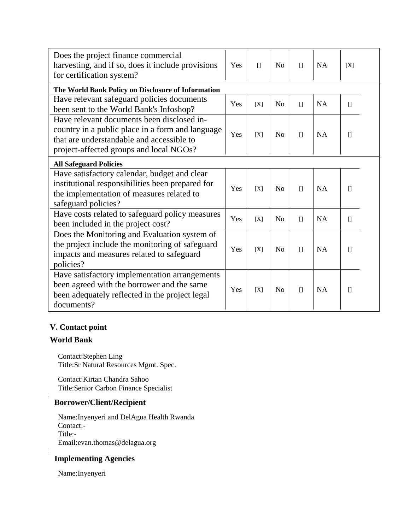| Does the project finance commercial<br>harvesting, and if so, does it include provisions<br>for certification system?                                                                  | Yes | $\prod$ | N <sub>o</sub> | $\prod$ | <b>NA</b> | [X]     |
|----------------------------------------------------------------------------------------------------------------------------------------------------------------------------------------|-----|---------|----------------|---------|-----------|---------|
| The World Bank Policy on Disclosure of Information                                                                                                                                     |     |         |                |         |           |         |
| Have relevant safeguard policies documents<br>been sent to the World Bank's Infoshop?                                                                                                  | Yes | [X]     | N <sub>o</sub> | $[$     | <b>NA</b> | $\Box$  |
| Have relevant documents been disclosed in-<br>country in a public place in a form and language<br>that are understandable and accessible to<br>project-affected groups and local NGOs? | Yes | [X]     | N <sub>o</sub> | $\prod$ | NA        | $\Box$  |
| <b>All Safeguard Policies</b>                                                                                                                                                          |     |         |                |         |           |         |
| Have satisfactory calendar, budget and clear<br>institutional responsibilities been prepared for<br>the implementation of measures related to<br>safeguard policies?                   | Yes | [X]     | N <sub>o</sub> | $\prod$ | NA        | $[]$    |
| Have costs related to safeguard policy measures<br>been included in the project cost?                                                                                                  | Yes | [X]     | N <sub>o</sub> | $\prod$ | <b>NA</b> | $\Box$  |
| Does the Monitoring and Evaluation system of<br>the project include the monitoring of safeguard<br>impacts and measures related to safeguard<br>policies?                              | Yes | [X]     | N <sub>o</sub> | $\prod$ | <b>NA</b> | $\Box$  |
| Have satisfactory implementation arrangements<br>been agreed with the borrower and the same<br>been adequately reflected in the project legal<br>documents?                            | Yes | [X]     | N <sub>0</sub> | $\prod$ | <b>NA</b> | $\prod$ |

# **V. Contact point**

## **World Bank**

Contact:Stephen Ling Title:Sr Natural Resources Mgmt. Spec.

Contact:Kirtan Chandra Sahoo Title:Senior Carbon Finance Specialist

# **Borrower/Client/Recipient**

Name:Inyenyeri and DelAgua Health Rwanda Contact:- Title:- Email:evan.thomas@delagua.org

# **Implementing Agencies**

Name:Inyenyeri